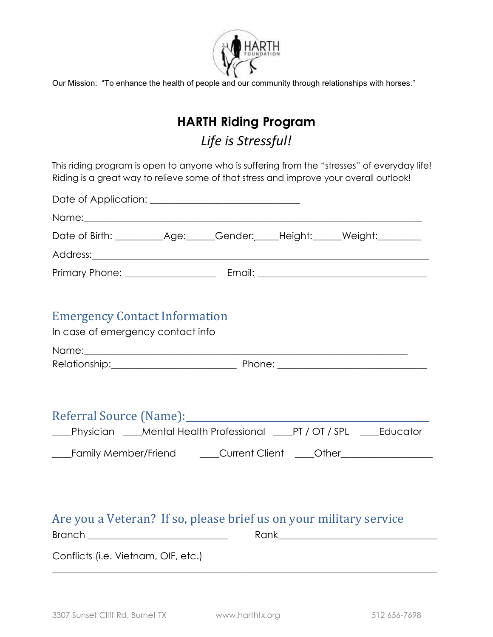

Our Mission: "To enhance the health of people and our community through relationships with horses."

# **HARTH Riding Program** *Life is Stressful!*

This riding program is open to anyone who is suffering from the "stresses" of everyday life! Riding is a great way to relieve some of that stress and improve your overall outlook!

| Date of Application: <u>______________________________</u>                                                |  |                                                                                                                                                                |
|-----------------------------------------------------------------------------------------------------------|--|----------------------------------------------------------------------------------------------------------------------------------------------------------------|
|                                                                                                           |  |                                                                                                                                                                |
|                                                                                                           |  | Date of Birth: ____________Age: _____Gender: _____Height: ______Weight: ________                                                                               |
|                                                                                                           |  |                                                                                                                                                                |
|                                                                                                           |  |                                                                                                                                                                |
| <b>Emergency Contact Information</b><br>In case of emergency contact info                                 |  |                                                                                                                                                                |
|                                                                                                           |  |                                                                                                                                                                |
|                                                                                                           |  |                                                                                                                                                                |
| Referral Source (Name): Name and Allen Manual Account of the Referral Source (Name):                      |  | ___Physician ____Mental Health Professional ____PT / OT / SPL ____Educator<br>___Family Member/Friend _____Current Client ____Other___________________________ |
| Are you a Veteran? If so, please brief us on your military service<br>Conflicts (i.e. Vietnam, OIF, etc.) |  |                                                                                                                                                                |
|                                                                                                           |  |                                                                                                                                                                |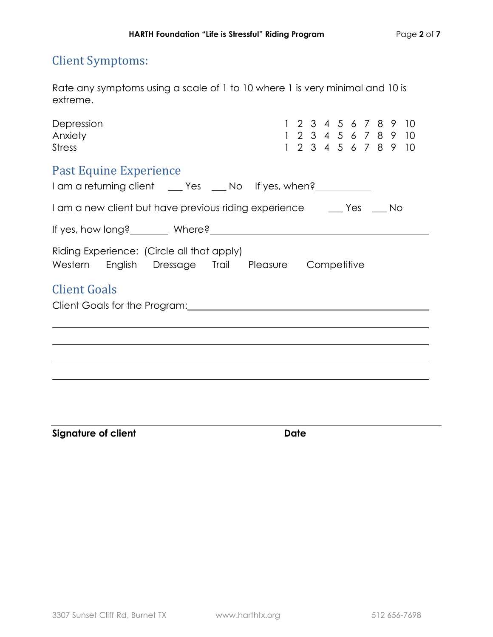# Client Symptoms:

Rate any symptoms using a scale of 1 to 10 where 1 is very minimal and 10 is extreme.

| Depression<br>Anxiety<br><b>Stress</b>                                                                     | 1 2 3 4 5 6 7 8 9 10<br>1 2 3 4 5 6 7 8 9 10<br>1 2 3 4 5 6 7 8 9 10 |
|------------------------------------------------------------------------------------------------------------|----------------------------------------------------------------------|
| Past Equine Experience<br>I am a returning client _____ Yes _____ No If yes, when?________________________ |                                                                      |
| I am a new client but have previous riding experience _______ Yes _____ No                                 |                                                                      |
|                                                                                                            |                                                                      |
| Riding Experience: (Circle all that apply)<br>Western English Dressage Trail Pleasure Competitive          |                                                                      |
| <b>Client Goals</b>                                                                                        |                                                                      |
|                                                                                                            |                                                                      |
|                                                                                                            |                                                                      |
|                                                                                                            |                                                                      |
|                                                                                                            |                                                                      |
|                                                                                                            |                                                                      |

**Signature of client Date**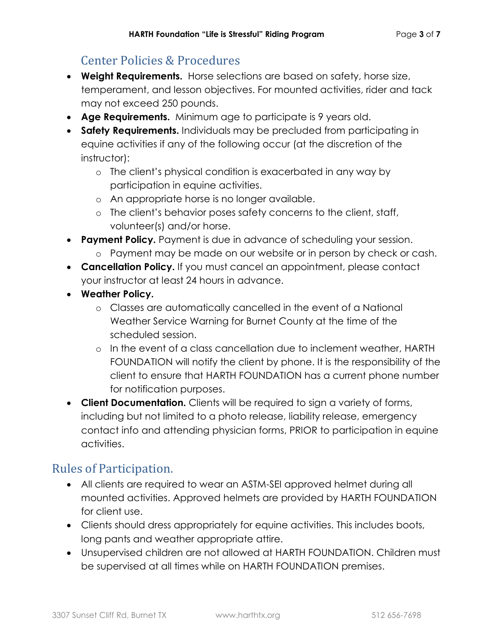# Center Policies & Procedures

- **Weight Requirements.** Horse selections are based on safety, horse size, temperament, and lesson objectives. For mounted activities, rider and tack may not exceed 250 pounds.
- **Age Requirements.** Minimum age to participate is 9 years old.
- **Safety Requirements.** Individuals may be precluded from participating in equine activities if any of the following occur (at the discretion of the instructor):
	- o The client's physical condition is exacerbated in any way by participation in equine activities.
	- o An appropriate horse is no longer available.
	- o The client's behavior poses safety concerns to the client, staff, volunteer(s) and/or horse.
- **Payment Policy.** Payment is due in advance of scheduling your session.
	- o Payment may be made on our website or in person by check or cash.
- **Cancellation Policy.** If you must cancel an appointment, please contact your instructor at least 24 hours in advance.
- **Weather Policy.**
	- o Classes are automatically cancelled in the event of a National Weather Service Warning for Burnet County at the time of the scheduled session.
	- o In the event of a class cancellation due to inclement weather, HARTH FOUNDATION will notify the client by phone. It is the responsibility of the client to ensure that HARTH FOUNDATION has a current phone number for notification purposes.
- **Client Documentation.** Clients will be required to sign a variety of forms, including but not limited to a photo release, liability release, emergency contact info and attending physician forms, PRIOR to participation in equine activities.

### Rules of Participation.

- All clients are required to wear an ASTM-SEI approved helmet during all mounted activities. Approved helmets are provided by HARTH FOUNDATION for client use.
- Clients should dress appropriately for equine activities. This includes boots, long pants and weather appropriate attire.
- Unsupervised children are not allowed at HARTH FOUNDATION. Children must be supervised at all times while on HARTH FOUNDATION premises.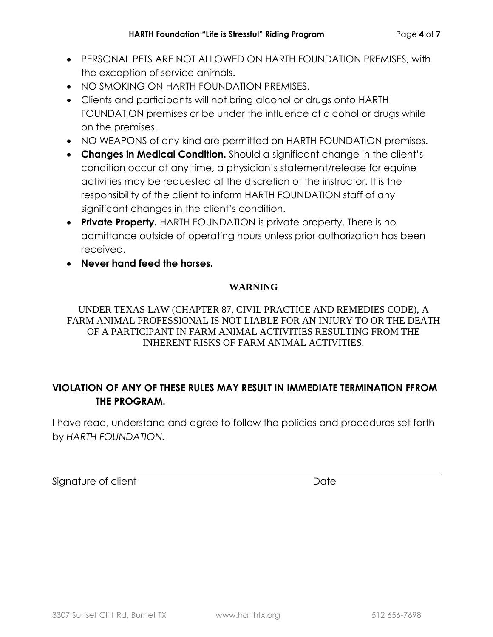- PERSONAL PETS ARE NOT ALLOWED ON HARTH FOUNDATION PREMISES, with the exception of service animals.
- NO SMOKING ON HARTH FOUNDATION PREMISES.
- Clients and participants will not bring alcohol or drugs onto HARTH FOUNDATION premises or be under the influence of alcohol or drugs while on the premises.
- NO WEAPONS of any kind are permitted on HARTH FOUNDATION premises.
- **Changes in Medical Condition.** Should a significant change in the client's condition occur at any time, a physician's statement/release for equine activities may be requested at the discretion of the instructor. It is the responsibility of the client to inform HARTH FOUNDATION staff of any significant changes in the client's condition.
- **Private Property.** HARTH FOUNDATION is private property. There is no admittance outside of operating hours unless prior authorization has been received.
- **Never hand feed the horses.**

#### **WARNING**

UNDER TEXAS LAW (CHAPTER 87, CIVIL PRACTICE AND REMEDIES CODE), A FARM ANIMAL PROFESSIONAL IS NOT LIABLE FOR AN INJURY TO OR THE DEATH OF A PARTICIPANT IN FARM ANIMAL ACTIVITIES RESULTING FROM THE INHERENT RISKS OF FARM ANIMAL ACTIVITIES.

#### **VIOLATION OF ANY OF THESE RULES MAY RESULT IN IMMEDIATE TERMINATION FFROM THE PROGRAM.**

I have read, understand and agree to follow the policies and procedures set forth by *HARTH FOUNDATION.*

Signature of client National Contract Date Date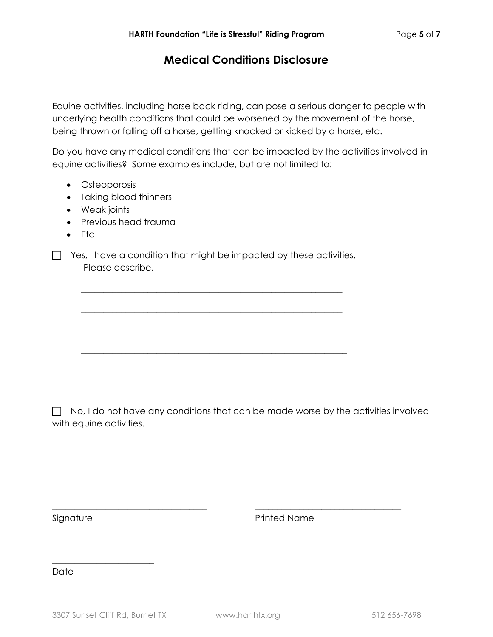### **Medical Conditions Disclosure**

Equine activities, including horse back riding, can pose a serious danger to people with underlying health conditions that could be worsened by the movement of the horse, being thrown or falling off a horse, getting knocked or kicked by a horse, etc.

Do you have any medical conditions that can be impacted by the activities involved in equine activities? Some examples include, but are not limited to:

- Osteoporosis
- Taking blood thinners
- Weak joints
- Previous head trauma
- $\bullet$  Etc.

 $\Box$  Yes, I have a condition that might be impacted by these activities. Please describe.

\_\_\_\_\_\_\_\_\_\_\_\_\_\_\_\_\_\_\_\_\_\_\_\_\_\_\_\_\_\_\_\_\_\_\_\_\_\_\_\_\_\_\_\_\_\_\_\_\_\_\_\_\_\_\_\_\_\_\_

\_\_\_\_\_\_\_\_\_\_\_\_\_\_\_\_\_\_\_\_\_\_\_\_\_\_\_\_\_\_\_\_\_\_\_\_\_\_\_\_\_\_\_\_\_\_\_\_\_\_\_\_\_\_\_\_\_\_\_

\_\_\_\_\_\_\_\_\_\_\_\_\_\_\_\_\_\_\_\_\_\_\_\_\_\_\_\_\_\_\_\_\_\_\_\_\_\_\_\_\_\_\_\_\_\_\_\_\_\_\_\_\_\_\_\_\_\_\_

\_\_\_\_\_\_\_\_\_\_\_\_\_\_\_\_\_\_\_\_\_\_\_\_\_\_\_\_\_\_\_\_\_\_\_\_\_\_\_\_\_\_\_\_\_\_\_\_\_\_\_\_\_\_\_\_\_\_\_\_

 $\Box$  No, I do not have any conditions that can be made worse by the activities involved with equine activities.

\_\_\_\_\_\_\_\_\_\_\_\_\_\_\_\_\_\_\_\_\_\_\_\_\_\_\_\_\_\_\_\_\_\_\_ \_\_\_\_\_\_\_\_\_\_\_\_\_\_\_\_\_\_\_\_\_\_\_\_\_\_\_\_\_\_\_\_\_

Signature **Printed Name** 

Date

\_\_\_\_\_\_\_\_\_\_\_\_\_\_\_\_\_\_\_\_\_\_\_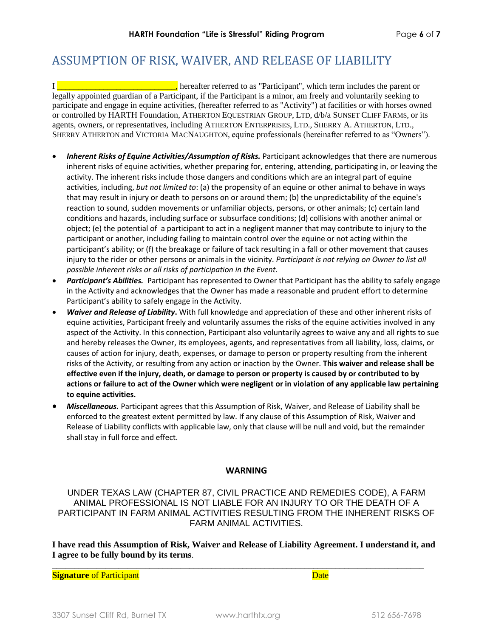## ASSUMPTION OF RISK, WAIVER, AND RELEASE OF LIABILITY

I **Example 20**  $\frac{1}{2}$  **hereafter referred to as "Participant"**, which term includes the parent or legally appointed guardian of a Participant, if the Participant is a minor, am freely and voluntarily seeking to participate and engage in equine activities, (hereafter referred to as "Activity") at facilities or with horses owned or controlled by HARTH Foundation, ATHERTON EQUESTRIAN GROUP, LTD, d/b/a SUNSET CLIFF FARMS, or its agents, owners, or representatives, including ATHERTON ENTERPRISES, LTD., SHERRY A. ATHERTON, LTD., SHERRY ATHERTON and VICTORIA MACNAUGHTON, equine professionals (hereinafter referred to as "Owners").

- *Inherent Risks of Equine Activities/Assumption of Risks.* Participant acknowledges that there are numerous inherent risks of equine activities, whether preparing for, entering, attending, participating in, or leaving the activity. The inherent risks include those dangers and conditions which are an integral part of equine activities, including, *but not limited to*: (a) the propensity of an equine or other animal to behave in ways that may result in injury or death to persons on or around them; (b) the unpredictability of the equine's reaction to sound, sudden movements or unfamiliar objects, persons, or other animals; (c) certain land conditions and hazards, including surface or subsurface conditions; (d) collisions with another animal or object; (e) the potential of a participant to act in a negligent manner that may contribute to injury to the participant or another, including failing to maintain control over the equine or not acting within the participant's ability; or (f) the breakage or failure of tack resulting in a fall or other movement that causes injury to the rider or other persons or animals in the vicinity. *Participant is not relying on Owner to list all possible inherent risks or all risks of participation in the Event*.
- *Participant's Abilities.* Participant has represented to Owner that Participant has the ability to safely engage in the Activity and acknowledges that the Owner has made a reasonable and prudent effort to determine Participant's ability to safely engage in the Activity.
- *Waiver and Release of Liability***.** With full knowledge and appreciation of these and other inherent risks of equine activities, Participant freely and voluntarily assumes the risks of the equine activities involved in any aspect of the Activity. In this connection, Participant also voluntarily agrees to waive any and all rights to sue and hereby releases the Owner, its employees, agents, and representatives from all liability, loss, claims, or causes of action for injury, death, expenses, or damage to person or property resulting from the inherent risks of the Activity, or resulting from any action or inaction by the Owner. **This waiver and release shall be effective even if the injury, death, or damage to person or property is caused by or contributed to by actions or failure to act of the Owner which were negligent or in violation of any applicable law pertaining to equine activities.**
- *Miscellaneous.* Participant agrees that this Assumption of Risk, Waiver, and Release of Liability shall be enforced to the greatest extent permitted by law. If any clause of this Assumption of Risk, Waiver and Release of Liability conflicts with applicable law, only that clause will be null and void, but the remainder shall stay in full force and effect.

#### **WARNING**

UNDER TEXAS LAW (CHAPTER 87, CIVIL PRACTICE AND REMEDIES CODE), A FARM ANIMAL PROFESSIONAL IS NOT LIABLE FOR AN INJURY TO OR THE DEATH OF A PARTICIPANT IN FARM ANIMAL ACTIVITIES RESULTING FROM THE INHERENT RISKS OF FARM ANIMAL ACTIVITIES.

**I have read this Assumption of Risk, Waiver and Release of Liability Agreement. I understand it, and I agree to be fully bound by its terms**.

\_\_\_\_\_\_\_\_\_\_\_\_\_\_\_\_\_\_\_\_\_\_\_\_\_\_\_\_\_\_\_\_\_\_\_\_\_\_\_\_\_\_\_\_\_\_\_\_\_\_\_\_\_\_\_\_\_\_\_\_\_\_\_\_\_\_\_\_\_\_\_\_\_\_\_\_\_\_\_\_\_\_\_\_

**Signature** of Participant **Date**